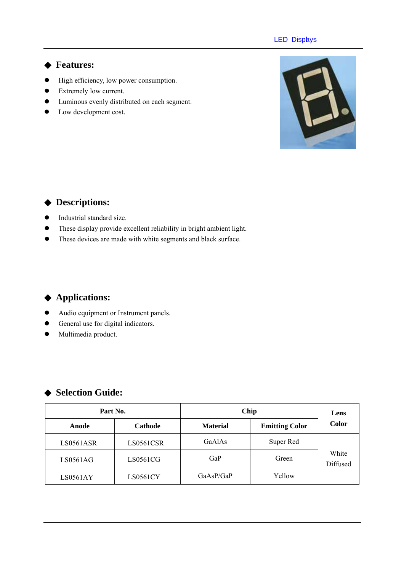#### **LED Displys**

#### **Features:**

- $\bullet$  High efficiency, low power consumption.
- Extremely low current.
- $\bullet$  Luminous evenly distributed on each segment.
- Low development cost.



## **Descriptions:**

- $\bullet$  Industrial standard size.
- These display provide excellent reliability in bright ambient light.
- $\bullet$  These devices are made with white segments and black surface.

## **Applications:**

- $\bullet$  Audio equipment or Instrument panels.
- General use for digital indicators.
- $\bullet$  Multimedia product.

### **Selection Guide:**

| Part No.  |                 | Chip            | Lens                  |                   |  |
|-----------|-----------------|-----------------|-----------------------|-------------------|--|
| Anode     | Cathode         | <b>Material</b> | <b>Emitting Color</b> |                   |  |
| LS0561ASR | LS0561CSR       | GaAlAs          | Super Red             | White<br>Diffused |  |
| LS0561AG  | LS0561CG        | GaP             | Green                 |                   |  |
| LS0561AY  | <b>LS0561CY</b> | GaAsP/GaP       | Yellow                |                   |  |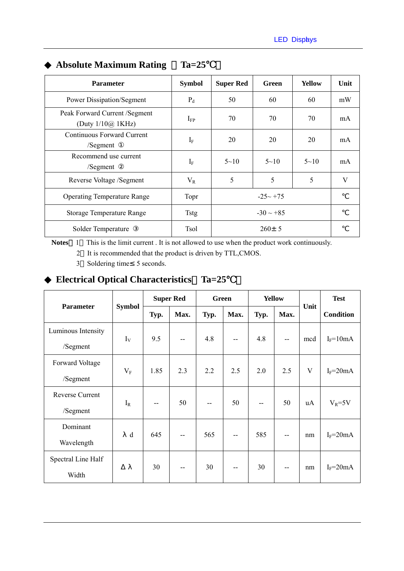| <b>Parameter</b>                                          | <b>Symbol</b> | <b>Super Red</b> | Green          | <b>Yellow</b> | Unit |
|-----------------------------------------------------------|---------------|------------------|----------------|---------------|------|
| <b>Power Dissipation/Segment</b>                          | $P_d$         | 50               | 60             | 60            | mW   |
| Peak Forward Current /Segment<br>(Duty $1/10\omega$ 1KHz) | $I_{FP}$      | 70               | 70             | 70            | mA   |
| Continuous Forward Current<br>/Segment                    | $I_F$         | 20               | 20             | 20            | mA   |
| Recommend use current<br>/Segment                         | $I_F$         | $5 - 10$         | $5 - 10$       | $5 \sim 10$   | mA   |
| Reverse Voltage /Segment                                  | $V_{R}$       | 5                | 5              | 5             | V    |
| <b>Operating Temperature Range</b>                        | Topr          | $-25 - +75$      |                |               |      |
| <b>Storage Temperature Range</b>                          | <b>Tstg</b>   |                  | $-30 \sim +85$ |               |      |
| Solder Temperature                                        | Tsol          | $260 \pm 5$      |                |               |      |

# **Absolute Maximum Rating**  Ta=25

Notes 1 This is the limit current . It is not allowed to use when the product work continuously.

2 It is recommended that the product is driven by TTL,CMOS.

3 Soldering time 5 seconds.

## **Electrical Optical Characteristics**%**Ta=25**℃)

|                    | <b>Symbol</b> | <b>Super Red</b> |                          | <b>Green</b> |      | <b>Yellow</b> |                          |      | <b>Test</b>      |
|--------------------|---------------|------------------|--------------------------|--------------|------|---------------|--------------------------|------|------------------|
| <b>Parameter</b>   |               | Typ.             | Max.                     | Typ.         | Max. | Typ.          | Max.                     | Unit | <b>Condition</b> |
| Luminous Intensity | $I_V$         | 9.5              |                          | 4.8<br>$- -$ | $-$  | 4.8           | $\overline{\phantom{a}}$ | mcd  | $I_F = 10mA$     |
| /Segment           |               |                  |                          |              |      |               |                          |      |                  |
| Forward Voltage    | $V_{\rm F}$   | 1.85             | 2.3                      | 2.2          | 2.5  | 2.0           | 2.5                      | V    | $I_F = 20mA$     |
| /Segment           |               |                  |                          |              |      |               |                          |      |                  |
| Reverse Current    | $I_R$         | --               | 50                       |              | 50   | --            | 50                       | uA   | $V_R = 5V$       |
| /Segment           |               |                  |                          |              |      |               |                          |      |                  |
| Dominant           | d             | 645              | --                       | 565          | --   | 585           | --                       | nm   | $I_F = 20mA$     |
| Wavelength         |               |                  |                          |              |      |               |                          |      |                  |
| Spectral Line Half |               | 30               |                          | 30           |      | 30            |                          |      |                  |
| Width              |               |                  | $\overline{\phantom{a}}$ |              | --   |               | --                       | nm   | $I_F = 20mA$     |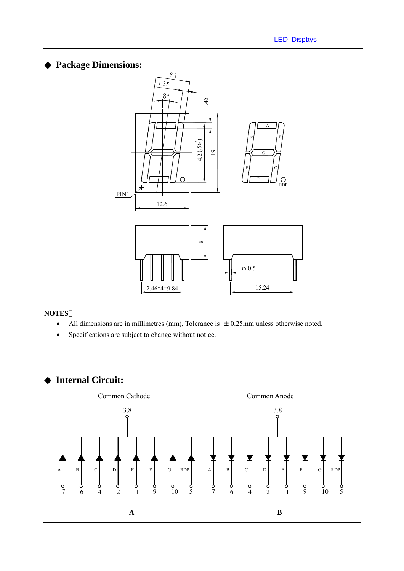## **Package Dimensions:**



#### **NOTES**:

- All dimensions are in millimetres (mm), Tolerance is  $\pm 0.25$ mm unless otherwise noted.
- Specifications are subject to change without notice.